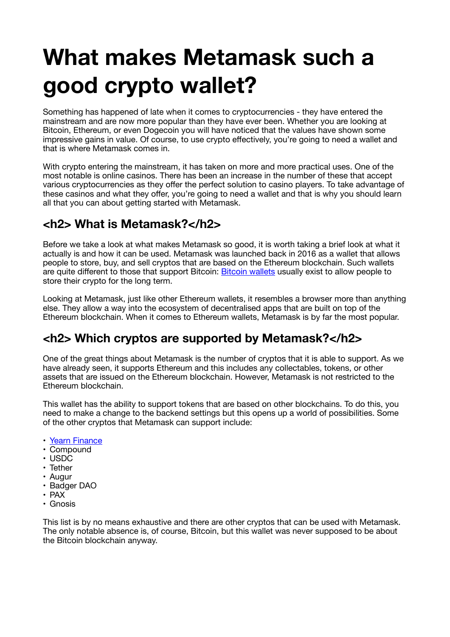# **What makes Metamask such a good crypto wallet?**

Something has happened of late when it comes to cryptocurrencies - they have entered the mainstream and are now more popular than they have ever been. Whether you are looking at Bitcoin, Ethereum, or even Dogecoin you will have noticed that the values have shown some impressive gains in value. Of course, to use crypto effectively, you're going to need a wallet and that is where Metamask comes in.

With crypto entering the mainstream, it has taken on more and more practical uses. One of the most notable is online casinos. There has been an increase in the number of these that accept various cryptocurrencies as they offer the perfect solution to casino players. To take advantage of these casinos and what they offer, you're going to need a wallet and that is why you should learn all that you can about getting started with Metamask.

## **<h2> What is Metamask?</h2>**

Before we take a look at what makes Metamask so good, it is worth taking a brief look at what it actually is and how it can be used. Metamask was launched back in 2016 as a wallet that allows people to store, buy, and sell cryptos that are based on the Ethereum blockchain. Such wallets are quite different to those that support Bitcoin: [Bitcoin wallets](https://www.investopedia.com/best-bitcoin-wallets-5070283) usually exist to allow people to store their crypto for the long term.

Looking at Metamask, just like other Ethereum wallets, it resembles a browser more than anything else. They allow a way into the ecosystem of decentralised apps that are built on top of the Ethereum blockchain. When it comes to Ethereum wallets, Metamask is by far the most popular.

#### **<h2> Which cryptos are supported by Metamask?</h2>**

One of the great things about Metamask is the number of cryptos that it is able to support. As we have already seen, it supports Ethereum and this includes any collectables, tokens, or other assets that are issued on the Ethereum blockchain. However, Metamask is not restricted to the Ethereum blockchain.

This wallet has the ability to support tokens that are based on other blockchains. To do this, you need to make a change to the backend settings but this opens up a world of possibilities. Some of the other cryptos that Metamask can support include:

- [Yearn Finance](https://yearn.finance)
- Compound
- USDC
- Tether
- Augur
- Badger DAO
- PAX
- Gnosis

This list is by no means exhaustive and there are other cryptos that can be used with Metamask. The only notable absence is, of course, Bitcoin, but this wallet was never supposed to be about the Bitcoin blockchain anyway.